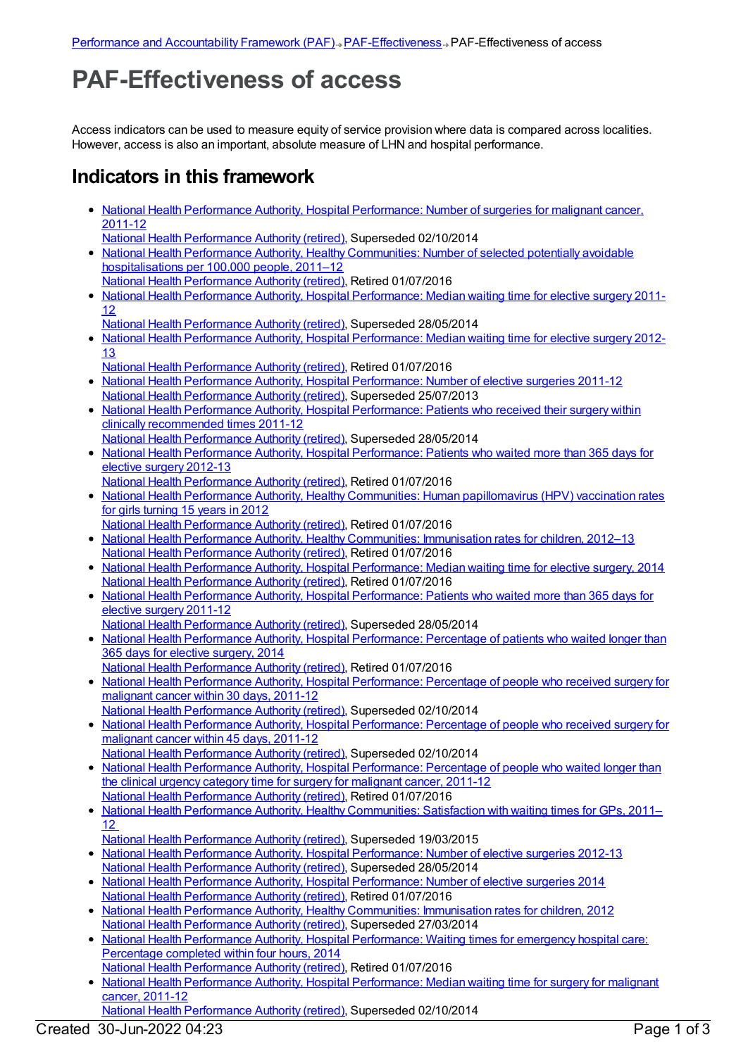## **PAF-Effectiveness of access**

Access indicators can be used to measure equity of service provision where data is compared across localities. However, access is also an important, absolute measure of LHN and hospital performance.

## **Indicators in this framework**

- National Health Performance Authority, Hospital [Performance:](https://meteor.aihw.gov.au/content/530143) Number of surgeries for malignant cancer, 2011-12
- National Health [Performance](https://meteor.aihw.gov.au/RegistrationAuthority/8) Authority (retired), Superseded 02/10/2014
- National Health Performance Authority, Healthy Communities: Number of selected potentially avoidable [hospitalisations](https://meteor.aihw.gov.au/content/549587) per 100,000 people, 2011–12
- National Health [Performance](https://meteor.aihw.gov.au/RegistrationAuthority/8) Authority (retired), Retired 01/07/2016 • National Health Performance Authority, Hospital [Performance:](https://meteor.aihw.gov.au/content/527347) Median waiting time for elective surgery 2011-12
	- National Health [Performance](https://meteor.aihw.gov.au/RegistrationAuthority/8) Authority (retired), Superseded 28/05/2014
- National Health Performance Authority, Hospital [Performance:](https://meteor.aihw.gov.au/content/532942) Median waiting time for elective surgery 2012-13
- National Health [Performance](https://meteor.aihw.gov.au/RegistrationAuthority/8) Authority (retired), Retired 01/07/2016
- National Health Performance Authority, Hospital [Performance:](https://meteor.aihw.gov.au/content/527374) Number of elective surgeries 2011-12 National Health [Performance](https://meteor.aihw.gov.au/RegistrationAuthority/8) Authority (retired), Superseded 25/07/2013
- National Health Performance Authority, Hospital [Performance:](https://meteor.aihw.gov.au/content/527368) Patients who received their surgery within clinically recommended times 2011-12
- National Health [Performance](https://meteor.aihw.gov.au/RegistrationAuthority/8) Authority (retired), Superseded 28/05/2014 National Health Performance Authority, Hospital [Performance:](https://meteor.aihw.gov.au/content/532932) Patients who waited more than 365 days for elective surgery 2012-13
- National Health [Performance](https://meteor.aihw.gov.au/RegistrationAuthority/8) Authority (retired), Retired 01/07/2016
- National Health Performance Authority, Healthy Communities: Human [papillomavirus](https://meteor.aihw.gov.au/content/564385) (HPV) vaccination rates for girls turning 15 years in 2012
- National Health [Performance](https://meteor.aihw.gov.au/RegistrationAuthority/8) Authority (retired), Retired 01/07/2016
- National Health Performance Authority, Healthy [Communities:](https://meteor.aihw.gov.au/content/564342) Immunisation rates for children, 2012-13 National Health [Performance](https://meteor.aihw.gov.au/RegistrationAuthority/8) Authority (retired), Retired 01/07/2016
- National Health Performance Authority, Hospital [Performance:](https://meteor.aihw.gov.au/content/558302) Median waiting time for elective surgery, 2014 National Health [Performance](https://meteor.aihw.gov.au/RegistrationAuthority/8) Authority (retired), Retired 01/07/2016
- National Health Performance Authority, Hospital [Performance:](https://meteor.aihw.gov.au/content/527371) Patients who waited more than 365 days for elective surgery 2011-12
- National Health [Performance](https://meteor.aihw.gov.au/RegistrationAuthority/8) Authority (retired), Superseded 28/05/2014
- National Health Performance Authority, Hospital [Performance:](https://meteor.aihw.gov.au/content/558296) Percentage of patients who waited longer than 365 days for elective surgery, 2014
- National Health [Performance](https://meteor.aihw.gov.au/RegistrationAuthority/8) Authority (retired), Retired 01/07/2016
- National Health Performance Authority, Hospital [Performance:](https://meteor.aihw.gov.au/content/530411) Percentage of people who received surgery for malignant cancer within 30 days, 2011-12
- National Health [Performance](https://meteor.aihw.gov.au/RegistrationAuthority/8) Authority (retired), Superseded 02/10/2014
- National Health Performance Authority, Hospital [Performance:](https://meteor.aihw.gov.au/content/543422) Percentage of people who received surgery for malignant cancer within 45 days, 2011-12
- National Health [Performance](https://meteor.aihw.gov.au/RegistrationAuthority/8) Authority (retired), Superseded 02/10/2014
- National Health Performance Authority, Hospital [Performance:](https://meteor.aihw.gov.au/content/530408) Percentage of people who waited longer than the clinical urgency category time for surgery for malignant cancer, 2011-12 National Health [Performance](https://meteor.aihw.gov.au/RegistrationAuthority/8) Authority (retired), Retired 01/07/2016
- National Health Performance Authority, Healthy [Communities:](https://meteor.aihw.gov.au/content/529386) Satisfaction with waiting times for GPs, 2011– 12
- National Health [Performance](https://meteor.aihw.gov.au/RegistrationAuthority/8) Authority (retired), Superseded 19/03/2015
- National Health Performance Authority, Hospital [Performance:](https://meteor.aihw.gov.au/content/532929) Number of elective surgeries 2012-13 National Health [Performance](https://meteor.aihw.gov.au/RegistrationAuthority/8) Authority (retired), Superseded 28/05/2014
- National Health Performance Authority, Hospital [Performance:](https://meteor.aihw.gov.au/content/558288) Number of elective surgeries 2014 National Health [Performance](https://meteor.aihw.gov.au/RegistrationAuthority/8) Authority (retired), Retired 01/07/2016
- National Health Performance Authority, Healthy [Communities:](https://meteor.aihw.gov.au/content/515538) Immunisation rates for children, 2012 National Health [Performance](https://meteor.aihw.gov.au/RegistrationAuthority/8) Authority (retired), Superseded 27/03/2014
- National Health Performance Authority, Hospital [Performance:](https://meteor.aihw.gov.au/content/558277) Waiting times for emergency hospital care: Percentage completed within four hours, 2014
- National Health [Performance](https://meteor.aihw.gov.au/RegistrationAuthority/8) Authority (retired), Retired 01/07/2016 • National Health Performance Authority, Hospital [Performance:](https://meteor.aihw.gov.au/content/530403) Median waiting time for surgery for malignant cancer, 2011-12
- National Health [Performance](https://meteor.aihw.gov.au/RegistrationAuthority/8) Authority (retired), Superseded 02/10/2014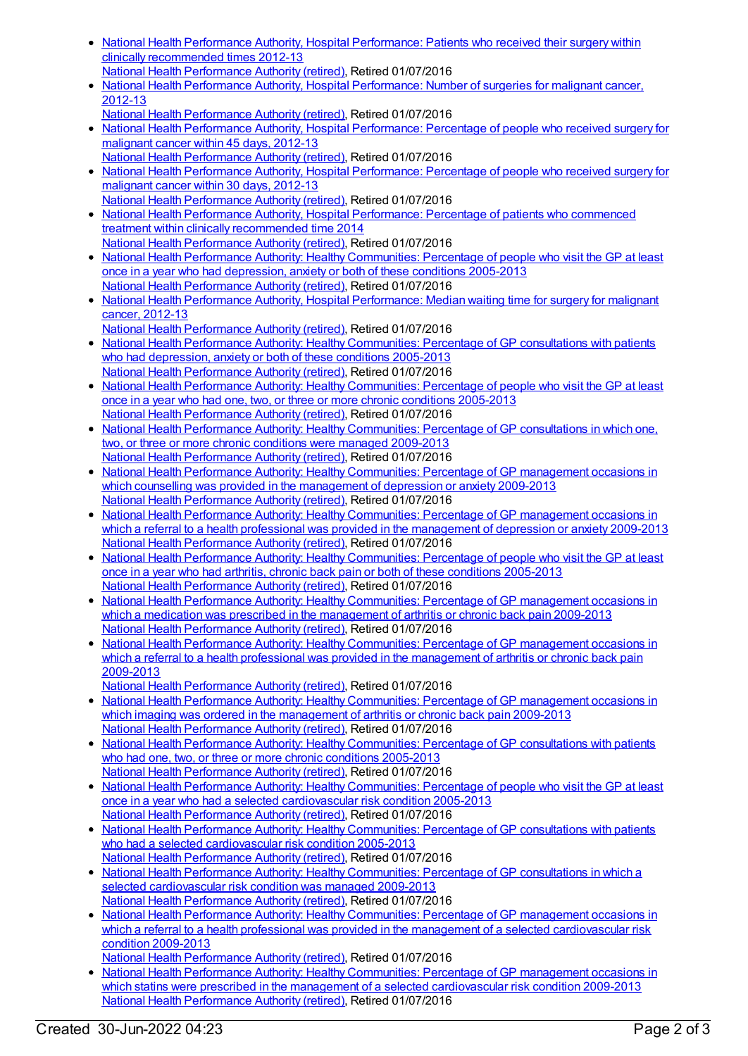- National Health Performance Authority, Hospital [Performance:](https://meteor.aihw.gov.au/content/532935) Patients who received their surgery within clinically recommended times 2012-13 National Health [Performance](https://meteor.aihw.gov.au/RegistrationAuthority/8) Authority (retired), Retired 01/07/2016
- National Health Performance Authority, Hospital [Performance:](https://meteor.aihw.gov.au/content/579929) Number of surgeries for malignant cancer, 2012-13
- National Health [Performance](https://meteor.aihw.gov.au/RegistrationAuthority/8) Authority (retired), Retired 01/07/2016
- National Health Performance Authority, Hospital [Performance:](https://meteor.aihw.gov.au/content/579894) Percentage of people who received surgery for malignant cancer within 45 days, 2012-13
- National Health [Performance](https://meteor.aihw.gov.au/RegistrationAuthority/8) Authority (retired), Retired 01/07/2016 National Health Performance Authority, Hospital [Performance:](https://meteor.aihw.gov.au/content/579993) Percentage of people who received surgery for malignant cancer within 30 days, 2012-13 National Health [Performance](https://meteor.aihw.gov.au/RegistrationAuthority/8) Authority (retired), Retired 01/07/2016
- National Health Performance Authority, Hospital [Performance:](https://meteor.aihw.gov.au/content/563081) Percentage of patients who commenced treatment within clinically recommended time 2014
- National Health [Performance](https://meteor.aihw.gov.au/RegistrationAuthority/8) Authority (retired), Retired 01/07/2016 • National Health Performance Authority: Healthy [Communities:](https://meteor.aihw.gov.au/content/593768) Percentage of people who visit the GP at least once in a year who had depression, anxiety or both of these conditions 2005-2013 National Health [Performance](https://meteor.aihw.gov.au/RegistrationAuthority/8) Authority (retired), Retired 01/07/2016
- National Health Performance Authority, Hospital [Performance:](https://meteor.aihw.gov.au/content/579970) Median waiting time for surgery for malignant cancer, 2012-13
- National Health [Performance](https://meteor.aihw.gov.au/RegistrationAuthority/8) Authority (retired), Retired 01/07/2016 National Health Performance Authority: Healthy [Communities:](https://meteor.aihw.gov.au/content/588162) Percentage of GP consultations with patients who had depression, anxiety or both of these conditions 2005-2013 National Health [Performance](https://meteor.aihw.gov.au/RegistrationAuthority/8) Authority (retired), Retired 01/07/2016
- National Health Performance Authority: Healthy [Communities:](https://meteor.aihw.gov.au/content/586349) Percentage of people who visit the GP at least once in a year who had one, two, or three or more chronic conditions 2005-2013 National Health [Performance](https://meteor.aihw.gov.au/RegistrationAuthority/8) Authority (retired), Retired 01/07/2016
- National Health Performance Authority: Healthy [Communities:](https://meteor.aihw.gov.au/content/586345) Percentage of GP consultations in which one, two, or three or more chronic conditions were managed 2009-2013
- National Health [Performance](https://meteor.aihw.gov.au/RegistrationAuthority/8) Authority (retired), Retired 01/07/2016 National Health Performance Authority: Healthy [Communities:](https://meteor.aihw.gov.au/content/593774) Percentage of GP management occasions in which counselling was provided in the management of depression or anxiety 2009-2013 National Health [Performance](https://meteor.aihw.gov.au/RegistrationAuthority/8) Authority (retired), Retired 01/07/2016
- National Health Performance Authority: Healthy [Communities:](https://meteor.aihw.gov.au/content/594756) Percentage of GP management occasions in which a referral to a health professional was provided in the management of depression or anxiety 2009-2013 National Health [Performance](https://meteor.aihw.gov.au/RegistrationAuthority/8) Authority (retired), Retired 01/07/2016
- National Health Performance Authority: Healthy [Communities:](https://meteor.aihw.gov.au/content/593791) Percentage of people who visit the GP at least once in a year who had arthritis, chronic back pain or both of these conditions 2005-2013 National Health [Performance](https://meteor.aihw.gov.au/RegistrationAuthority/8) Authority (retired), Retired 01/07/2016
- National Health Performance Authority: Healthy [Communities:](https://meteor.aihw.gov.au/content/593798) Percentage of GP management occasions in which a medication was prescribed in the management of arthritis or chronic back pain 2009-2013 National Health [Performance](https://meteor.aihw.gov.au/RegistrationAuthority/8) Authority (retired), Retired 01/07/2016
- National Health Performance Authority: Healthy [Communities:](https://meteor.aihw.gov.au/content/595024) Percentage of GP management occasions in which a referral to a health professional was provided in the management of arthritis or chronic back pain 2009-2013
- National Health [Performance](https://meteor.aihw.gov.au/RegistrationAuthority/8) Authority (retired), Retired 01/07/2016
- National Health Performance Authority: Healthy [Communities:](https://meteor.aihw.gov.au/content/593803) Percentage of GP management occasions in which imaging was ordered in the management of arthritis or chronic back pain 2009-2013 National Health [Performance](https://meteor.aihw.gov.au/RegistrationAuthority/8) Authority (retired), Retired 01/07/2016
- National Health Performance Authority: Healthy [Communities:](https://meteor.aihw.gov.au/content/586342) Percentage of GP consultations with patients who had one, two, or three or more chronic conditions 2005-2013 National Health [Performance](https://meteor.aihw.gov.au/RegistrationAuthority/8) Authority (retired), Retired 01/07/2016
- National Health Performance Authority: Healthy [Communities:](https://meteor.aihw.gov.au/content/593780) Percentage of people who visit the GP at least once in a year who had a selected cardiovascular risk condition 2005-2013 National Health [Performance](https://meteor.aihw.gov.au/RegistrationAuthority/8) Authority (retired), Retired 01/07/2016
- National Health Performance Authority: Healthy [Communities:](https://meteor.aihw.gov.au/content/593783) Percentage of GP consultations with patients who had a selected cardiovascular risk condition 2005-2013
- National Health [Performance](https://meteor.aihw.gov.au/RegistrationAuthority/8) Authority (retired), Retired 01/07/2016 • National Health Performance Authority: Healthy [Communities:](https://meteor.aihw.gov.au/content/593785) Percentage of GP consultations in which a selected cardiovascular risk condition was managed 2009-2013 National Health [Performance](https://meteor.aihw.gov.au/RegistrationAuthority/8) Authority (retired), Retired 01/07/2016
- National Health Performance Authority: Healthy Communities: Percentage of GP management occasions in which a referral to a health professional was provided in the management of a selected [cardiovascular](https://meteor.aihw.gov.au/content/593787) risk condition 2009-2013
	- National Health [Performance](https://meteor.aihw.gov.au/RegistrationAuthority/8) Authority (retired), Retired 01/07/2016
- National Health Performance Authority: Healthy [Communities:](https://meteor.aihw.gov.au/content/593789) Percentage of GP management occasions in which statins were prescribed in the management of a selected cardiovascular risk condition 2009-2013 National Health [Performance](https://meteor.aihw.gov.au/RegistrationAuthority/8) Authority (retired), Retired 01/07/2016